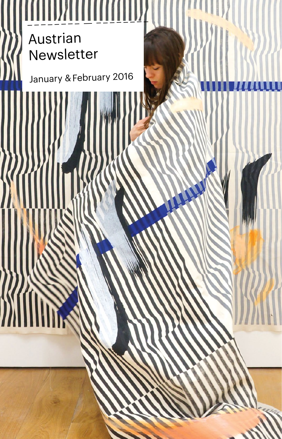# Austrian Newsletter – – – – – – – – — – – – – – – – –

January & February 2016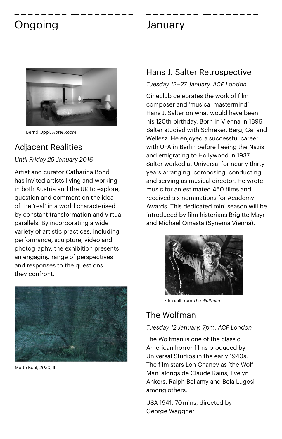### Ongoing January – – – – – – – – — – – – – – – – – – – – – – – – – — – – – – – – –



Bernd Oppl, *Hotel Room*

### Adjacent Realities

*Until Friday 29 January 2016*

Artist and curator Catharina Bond has invited artists living and working in both Austria and the UK to explore, question and comment on the idea of the 'real' in a world characterised by constant transformation and virtual parallels. By incorporating a wide variety of artistic practices, including performance, sculpture, video and photography, the exhibition presents an engaging range of perspectives and responses to the questions they confront.



Mette Boel, *20XX*, II

#### Hans J. Salter Retrospective

#### *Tuesday 12 –27 January, ACF London*

Cineclub celebrates the work of film composer and 'musical mastermind' Hans J. Salter on what would have been his 120th birthday. Born in Vienna in 1896 Salter studied with Schreker, Berg, Gal and Wellesz. He enjoyed a successful career with UFA in Berlin before fleeing the Nazis and emigrating to Hollywood in 1937. Salter worked at Universal for nearly thirty years arranging, composing, conducting and serving as musical director. He wrote music for an estimated 450 films and received six nominations for Academy Awards. This dedicated mini season will be introduced by film historians Brigitte Mayr and Michael Omasta (Synema Vienna).



Film still from *The Wolfman* 

### The Wolfman

#### *Tuesday 12 January, 7pm, ACF London*

The Wolfman is one of the classic American horror films produced by Universal Studios in the early 1940s. The film stars Lon Chaney as 'the Wolf Man' alongside Claude Rains, Evelyn Ankers, Ralph Bellamy and Bela Lugosi among others.

USA 1941, 70 mins, directed by George Waggner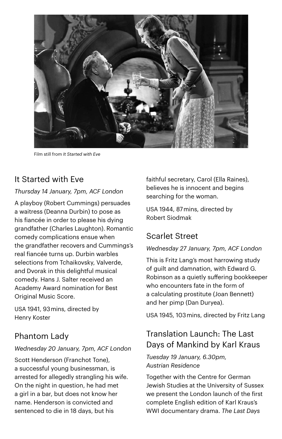

Film still from *It Started with Eve*

#### It Started with Eve

#### *Thursday 14 January, 7pm, ACF London*

A playboy (Robert Cummings) persuades a waitress (Deanna Durbin) to pose as his fiancée in order to please his dying grandfather (Charles Laughton). Romantic comedy complications ensue when the grandfather recovers and Cummings's real fiancée turns up. Durbin warbles selections from Tchaikovsky, Valverde, and Dvorak in this delightful musical comedy. Hans J. Salter received an Academy Award nomination for Best Original Music Score.

USA 1941, 93 mins, directed by Henry Koster

#### Phantom Lady

#### *Wednesday 20 January, 7pm, ACF London*

Scott Henderson (Franchot Tone), a successful young businessman, is arrested for allegedly strangling his wife. On the night in question, he had met a girl in a bar, but does not know her name. Henderson is convicted and sentenced to die in 18 days, but his

faithful secretary, Carol (Ella Raines), believes he is innocent and begins searching for the woman.

USA 1944, 87 mins, directed by Robert Siodmak

### Scarlet Street

#### *Wednesday 27 January, 7pm, ACF London*

This is Fritz Lang's most harrowing study of guilt and damnation, with Edward G. Robinson as a quietly suffering bookkeeper who encounters fate in the form of a calculating prostitute (Joan Bennett) and her pimp (Dan Duryea).

USA 1945, 103 mins, directed by Fritz Lang

### Translation Launch: The Last Days of Mankind by Karl Kraus

*Tuesday 19 January, 6.30pm, Austrian Residence*

Together with the Centre for German Jewish Studies at the University of Sussex we present the London launch of the first complete English edition of Karl Kraus's WWI documentary drama. *The Last Days*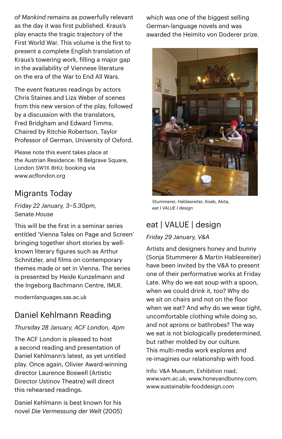*of Mankind* remains as powerfully relevant as the day it was first published. Kraus's play enacts the tragic trajectory of the First World War. This volume is the first to present a complete English translation of Kraus's towering work, filling a major gap in the availability of Viennese literature on the era of the War to End All Wars.

The event features readings by actors Chris Staines and Liza Weber of scenes from this new version of the play, followed by a discussion with the translators, Fred Bridgham and Edward Timms. Chaired by Ritchie Robertson, Taylor Professor of German, University of Oxford.

Please note this event takes place at the Austrian Residence: 18 Belgrave Square, London SW1X 8HU; booking via [www.acflondon.org](http://www.acflondon.org)

#### Migrants Today

*Friday 22 January, 3–5.30pm, Senate House*

This will be the first in a seminar series entitled 'Vienna Tales on Page and Screen' bringing together short stories by wellknown literary figures such as Arthur Schnitzler, and films on contemporary themes made or set in Vienna. The series is presented by Heide Kunzelmann and the Ingeborg Bachmann Centre, IMLR.

modernlanguages.sas.ac.uk

### Daniel Kehlmann Reading

#### *Thursday 28 January, ACF London, 4pm*

The ACF London is pleased to host a second reading and presentation of Daniel Kehlmann's latest, as yet untitled play. Once again, Olivier Award-winning director Laurence Boswell (Artistic Director Ustinov Theatre) will direct this rehearsed readings.

Daniel Kehlmann is best known for his novel *Die Vermessung der Welt* (2005) which was one of the biggest selling German-language novels and was awarded the Heimito von Doderer prize.



Stummerer, Hablesreiter, Koeb, Akita, *eat I VALUE I design*

### eat | VALUE | design

#### *Friday 29 January, V&A*

Artists and designers honey and bunny (Sonja Stummerer & Martin Hablesreiter) have been invited by the V&A to present one of their performative works at Friday Late. Why do we eat soup with a spoon, when we could drink it, too? Why do we sit on chairs and not on the floor when we eat? And why do we wear tight, uncomfortable clothing while doing so, and not aprons or bathrobes? The way we eat is not biologically predetermined, but rather molded by our culture. This multi-media work explores and re-imagines our relationship with food.

Info: V&A Museum, Exhibition road, www.vam.ac.uk; www.honeyandbunny.com; www.sustainable-fooddesign.com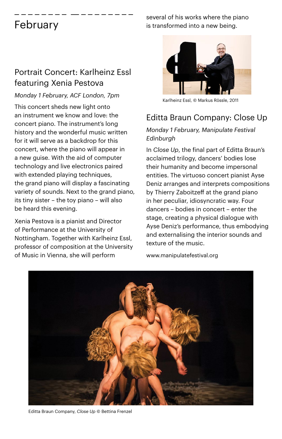#### February – – – – – – – – — – – – – – – – –

#### Portrait Concert: Karlheinz Essl featuring Xenia Pestova

#### *Monday 1 February, ACF London, 7pm*

This concert sheds new light onto an instrument we know and love: the concert piano. The instrument's long history and the wonderful music written for it will serve as a backdrop for this concert, where the piano will appear in a new guise. With the aid of computer technology and live electronics paired with extended playing techniques, the grand piano will display a fascinating variety of sounds. Next to the grand piano, its tiny sister – the toy piano – will also be heard this evening.

Xenia Pestova is a pianist and Director of Performance at the University of Nottingham. Together with Karlheinz Essl, professor of composition at the University of Music in Vienna, she will perform

several of his works where the piano is transformed into a new being.



Karlheinz Essl, © Markus Rössle, 2011

### Editta Braun Company: Close Up

#### *Monday 1 February, Manipulate Festival Edinburgh*

In *Close Up*, the final part of Editta Braun's acclaimed trilogy, dancers' bodies lose their humanity and become impersonal entities. The virtuoso concert pianist Ayse Deniz arranges and interprets compositions by Thierry Zaboitzeff at the grand piano in her peculiar, idiosyncratic way. Four dancers – bodies in concert – enter the stage, creating a physical dialogue with Ayse Deniz's performance, thus embodying and externalising the interior sounds and texture of the music.

www.manipulatefestival.org



Editta Braun Company, *Close Up* © Bettina Frenzel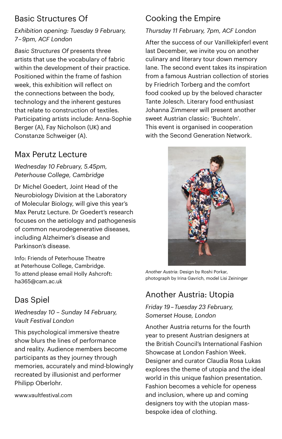### Basic Structures Of

#### *Exhibition opening: Tuesday 9 February, 7 – 9pm, ACF London*

*Basic Structures Of* presents three artists that use the vocabulary of fabric within the development of their practice. Positioned within the frame of fashion week, this exhibition will reflect on the connections between the body, technology and the inherent gestures that relate to construction of textiles. Participating artists include: Anna-Sophie Berger (A), Fay Nicholson (UK) and Constanze Schweiger (A).

### Max Perutz Lecture

*Wednesday 10 February, 5.45pm, Peterhouse College, Cambridge*

Dr Michel Goedert, Joint Head of the Neurobiology Division at the Laboratory of Molecular Biology, will give this year's Max Perutz Lecture. Dr Goedert's research focuses on the aetiology and pathogenesis of common neurodegenerative diseases, including Alzheimer's disease and Parkinson's disease.

Info: Friends of Peterhouse Theatre at Peterhouse College, Cambridge. To attend please email Holly Ashcroft: [ha365@cam.ac.uk](mailto:ha365@cam.ac.uk)

### Das Spiel

*Wednesday 10 – Sunday 14 February, Vault Festival London*

This psychological immersive theatre show blurs the lines of performance and reality. Audience members become participants as they journey through memories, accurately and mind-blowingly recreated by illusionist and performer Philipp Oberlohr.

[www.vaultfestival.com](http://www.vaultfestival.com)

## Cooking the Empire

#### *Thursday 11 February, 7pm, ACF London*

After the success of our Vanillekipferl event last December, we invite you on another culinary and literary tour down memory lane. The second event takes its inspiration from a famous Austrian collection of stories by Friedrich Torberg and the comfort food cooked up by the beloved character Tante Jolesch. Literary food enthusiast Johanna Zimmerer will present another sweet Austrian classic: 'Buchteln'. This event is organised in cooperation with the Second Generation Network.



*Another Austria*: Design by Roshi Porkar, photograph by Irina Gavrich, model Lisi Zeininger

### Another Austria: Utopia

*Friday 19 – Tuesday 23 February, Somerset House, London*

Another Austria returns for the fourth year to present Austrian designers at the British Council's International Fashion Showcase at London Fashion Week. Designer and curator Claudia Rosa Lukas explores the theme of utopia and the ideal world in this unique fashion presentation. Fashion becomes a vehicle for openess and inclusion, where up and coming designers toy with the utopian massbespoke idea of clothing.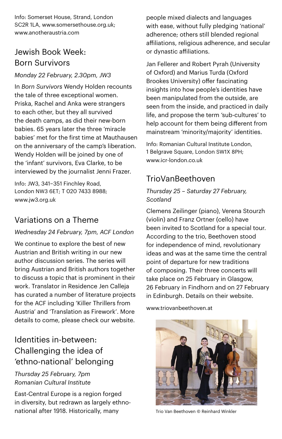Info: Somerset House, Strand, London SC2R 1LA, [www.somersethouse.org.uk;](http://www.somersethouse.org.uk) [www.anotheraustria.com](http://www.anotheraustria.com)

#### Jewish Book Week: Born Survivors

#### *Monday 22 February, 2.30pm, JW3*

In *Born Survivors* Wendy Holden recounts the tale of three exceptional women. Priska, Rachel and Anka were strangers to each other, but they all survived the death camps, as did their new-born babies. 65 years later the three 'miracle babies' met for the first time at Mauthausen on the anniversary of the camp's liberation. Wendy Holden will be joined by one of the 'infant' survivors, Eva Clarke, to be interviewed by the journalist Jenni Frazer.

Info: JW3, 341–351 Finchley Road, London NW3 6ET; T 020 7433 8988; www.jw3.org.uk

#### Variations on a Theme

#### *Wednesday 24 February, 7pm, ACF London*

We continue to explore the best of new Austrian and British writing in our new author discussion series. The series will bring Austrian and British authors together to discuss a topic that is prominent in their work. Translator in Residence Jen Calleja has curated a number of literature projects for the ACF including 'Killer Thrillers from Austria' and 'Translation as Firework'. More details to come, please check our website.

### Identities in-between: Challenging the idea of 'ethno-national' belonging

*Thursday 25 February, 7pm Romanian Cultural Institute*

East-Central Europe is a region forged in diversity, but redrawn as largely ethnonational after 1918. Historically, many

people mixed dialects and languages with ease, without fully pledging 'national' adherence; others still blended regional affiliations, religious adherence, and secular or dynastic affiliations.

Jan Fellerer and Robert Pyrah (University of Oxford) and Marius Turda (Oxford Brookes University) offer fascinating insights into how people's identities have been manipulated from the outside, are seen from the inside, and practiced in daily life, and propose the term 'sub-cultures' to help account for them being different from mainstream 'minority/majority' identities.

Info: Romanian Cultural Institute London, 1 Belgrave Square, London SW1X 8PH; [www.icr-london.co.uk](http://www.icr-london.co.uk)

#### TrioVanBeethoven

#### *Thursday 25 – Saturday 27 February, Scotland*

Clemens Zeilinger (piano), Verena Stourzh (violin) and Franz Ortner (cello) have been invited to Scotland for a special tour. According to the trio, Beethoven stood for independence of mind, revolutionary ideas and was at the same time the central point of departure for new traditions of composing. Their three concerts will take place on 25 February in Glasgow, 26 February in Findhorn and on 27 February in Edinburgh. Details on their website.

[www.triovanbeethoven.at](http://www.triovanbeethoven.at/)



Trio Van Beethoven © Reinhard Winkler